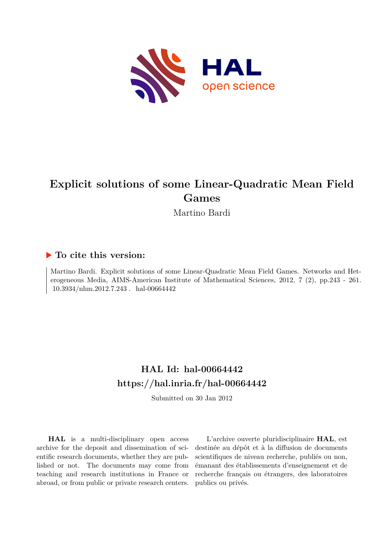

# **Explicit solutions of some Linear-Quadratic Mean Field Games**

Martino Bardi

## **To cite this version:**

Martino Bardi. Explicit solutions of some Linear-Quadratic Mean Field Games. Networks and Heterogeneous Media, AIMS-American Institute of Mathematical Sciences, 2012, 7 (2), pp.243 - 261.  $10.3934/nhm.2012.7.243$  . hal-00664442

## **HAL Id: hal-00664442 <https://hal.inria.fr/hal-00664442>**

Submitted on 30 Jan 2012

**HAL** is a multi-disciplinary open access archive for the deposit and dissemination of scientific research documents, whether they are published or not. The documents may come from teaching and research institutions in France or abroad, or from public or private research centers.

L'archive ouverte pluridisciplinaire **HAL**, est destinée au dépôt et à la diffusion de documents scientifiques de niveau recherche, publiés ou non, émanant des établissements d'enseignement et de recherche français ou étrangers, des laboratoires publics ou privés.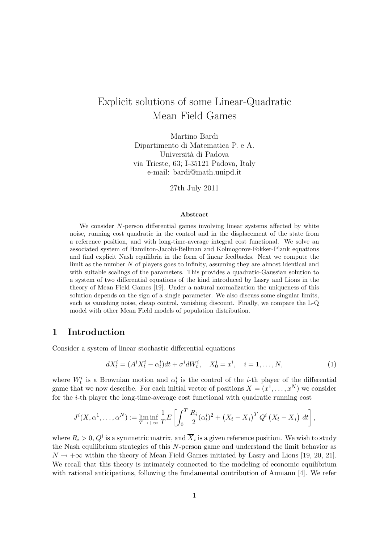## Explicit solutions of some Linear-Quadratic Mean Field Games

Martino Bardi Dipartimento di Matematica P. e A. Università di Padova via Trieste, 63; I-35121 Padova, Italy e-mail: bardi@math.unipd.it

27th July 2011

#### Abstract

We consider N-person differential games involving linear systems affected by white noise, running cost quadratic in the control and in the displacement of the state from a reference position, and with long-time-average integral cost functional. We solve an associated system of Hamilton-Jacobi-Bellman and Kolmogorov-Fokker-Plank equations and find explicit Nash equilibria in the form of linear feedbacks. Next we compute the limit as the number N of players goes to infinity, assuming they are almost identical and with suitable scalings of the parameters. This provides a quadratic-Gaussian solution to a system of two differential equations of the kind introduced by Lasry and Lions in the theory of Mean Field Games [19]. Under a natural normalization the uniqueness of this solution depends on the sign of a single parameter. We also discuss some singular limits, such as vanishing noise, cheap control, vanishing discount. Finally, we compare the L-Q model with other Mean Field models of population distribution.

### 1 Introduction

Consider a system of linear stochastic differential equations

$$
dX_t^i = (A^i X_t^i - \alpha_t^i)dt + \sigma^i dW_t^i, \quad X_0^i = x^i, \quad i = 1, ..., N,
$$
 (1)

where  $W_t^i$  is a Brownian motion and  $\alpha_t^i$  is the control of the *i*-th player of the differential game that we now describe. For each initial vector of positions  $X = (x^1, \ldots, x^N)$  we consider for the i-th player the long-time-average cost functional with quadratic running cost

$$
J^{i}(X, \alpha^{1}, \ldots, \alpha^{N}) := \liminf_{T \to +\infty} \frac{1}{T} E\left[\int_{0}^{T} \frac{R_{i}}{2} (\alpha_{t}^{i})^{2} + (X_{t} - \overline{X}_{i})^{T} Q^{i} (X_{t} - \overline{X}_{i}) dt\right],
$$

where  $R_i > 0$ ,  $Q^i$  is a symmetric matrix, and  $\overline{X}_i$  is a given reference position. We wish to study the Nash equilibrium strategies of this N-person game and understand the limit behavior as  $N \to +\infty$  within the theory of Mean Field Games initiated by Lasry and Lions [19, 20, 21]. We recall that this theory is intimately connected to the modeling of economic equilibrium with rational anticipations, following the fundamental contribution of Aumann [4]. We refer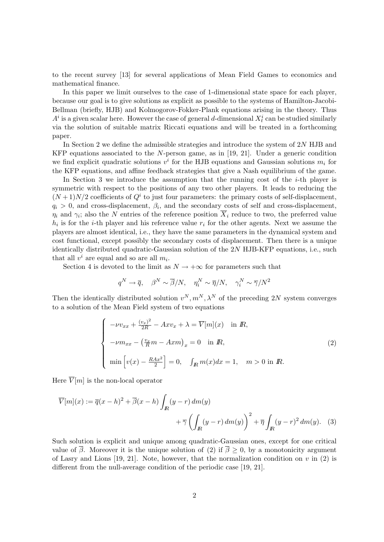to the recent survey [13] for several applications of Mean Field Games to economics and mathematical finance.

In this paper we limit ourselves to the case of 1-dimensional state space for each player, because our goal is to give solutions as explicit as possible to the systems of Hamilton-Jacobi-Bellman (briefly, HJB) and Kolmogorov-Fokker-Plank equations arising in the theory. Thus  $A^i$  is a given scalar here. However the case of general d-dimensional  $X_t^i$  can be studied similarly via the solution of suitable matrix Riccati equations and will be treated in a forthcoming paper.

In Section 2 we define the admissible strategies and introduce the system of 2N HJB and KFP equations associated to the N-person game, as in [19, 21]. Under a generic condition we find explicit quadratic solutions  $v^i$  for the HJB equations and Gaussian solutions  $m_i$  for the KFP equations, and affine feedback strategies that give a Nash equilibrium of the game.

In Section 3 we introduce the assumption that the running cost of the i-th player is symmetric with respect to the positions of any two other players. It leads to reducing the  $(N+1)N/2$  coefficients of  $Q<sup>i</sup>$  to just four parameters: the primary costs of self-displacement,  $q_i > 0$ , and cross-displacement,  $\beta_i$ , and the secondary costs of self and cross-displacement,  $\eta_i$  and  $\gamma_i$ ; also the N entries of the reference position  $X_i$  reduce to two, the preferred value  $h_i$  is for the *i*-th player and his reference value  $r_i$  for the other agents. Next we assume the players are almost identical, i.e., they have the same parameters in the dynamical system and cost functional, except possibly the secondary costs of displacement. Then there is a unique identically distributed quadratic-Gaussian solution of the 2N HJB-KFP equations, i.e., such that all  $v^i$  are equal and so are all  $m_i$ .

Section 4 is devoted to the limit as  $N \to +\infty$  for parameters such that

$$
q^N \to \overline{q}, \quad \beta^N \sim \overline{\beta}/N, \quad \eta_i^N \sim \overline{\eta}/N, \quad \gamma_i^N \sim \overline{\gamma}/N^2
$$

Then the identically distributed solution  $v^N, m^N, \lambda^N$  of the preceding 2N system converges to a solution of the Mean Field system of two equations

$$
\begin{cases}\n-\nu v_{xx} + \frac{(v_x)^2}{2R} - Ax v_x + \lambda = \overline{V}[m](x) & \text{in } R, \\
-\nu m_{xx} - \left(\frac{v_x}{R}m - Axm\right)_x = 0 & \text{in } R, \\
\min\left[v(x) - \frac{RAx^2}{2}\right] = 0, \quad \int_R m(x)dx = 1, \quad m > 0 \text{ in } R.\n\end{cases}
$$
\n(2)

Here  $\overline{V}[m]$  is the non-local operator

$$
\overline{V}[m](x) := \overline{q}(x-h)^2 + \overline{\beta}(x-h) \int_{\mathbb{R}} (y-r) dm(y) + \overline{\gamma} \left( \int_{\mathbb{R}} (y-r) dm(y) \right)^2 + \overline{\eta} \int_{\mathbb{R}} (y-r)^2 dm(y). \tag{3}
$$

Such solution is explicit and unique among quadratic-Gaussian ones, except for one critical value of  $\overline{\beta}$ . Moreover it is the unique solution of (2) if  $\overline{\beta} \ge 0$ , by a monotonicity argument of Lasry and Lions [19, 21]. Note, however, that the normalization condition on v in (2) is different from the null-average condition of the periodic case [19, 21].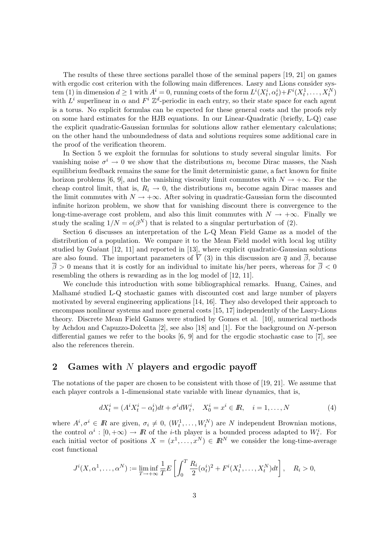The results of these three sections parallel those of the seminal papers [19, 21] on games with ergodic cost criterion with the following main differences. Lasry and Lions consider system (1) in dimension  $d \ge 1$  with  $A^i = 0$ , running costs of the form  $L^i(X_t^i, \alpha_t^i) + F^i(X_t^1, \dots, X_t^N)$ with  $L^i$  superlinear in  $\alpha$  and  $F^i \mathbb{Z}^d$ -periodic in each entry, so their state space for each agent is a torus. No explicit formulas can be expected for these general costs and the proofs rely on some hard estimates for the HJB equations. In our Linear-Quadratic (briefly, L-Q) case the explicit quadratic-Gaussian formulas for solutions allow rather elementary calculations; on the other hand the unboundedness of data and solutions requires some additional care in the proof of the verification theorem.

In Section 5 we exploit the formulas for solutions to study several singular limits. For vanishing noise  $\sigma^i \to 0$  we show that the distributions  $m_i$  become Dirac masses, the Nash equilibrium feedback remains the same for the limit deterministic game, a fact known for finite horizon problems [6, 9], and the vanishing viscosity limit commutes with  $N \to +\infty$ . For the cheap control limit, that is,  $R_i \rightarrow 0$ , the distributions  $m_i$  become again Dirac masses and the limit commutes with  $N \to +\infty$ . After solving in quadratic-Gaussian form the discounted infinite horizon problem, we show that for vanishing discount there is convergence to the long-time-average cost problem, and also this limit commutes with  $N \to +\infty$ . Finally we study the scaling  $1/N = o(\beta^N)$  that is related to a singular perturbation of (2).

Section 6 discusses an interpretation of the L-Q Mean Field Game as a model of the distribution of a population. We compare it to the Mean Field model with local log utility studied by Guéant [12, 11] and reported in [13], where explicit quadratic-Gaussian solutions are also found. The important parameters of  $\overline{V}$  (3) in this discussion are  $\overline{q}$  and  $\overline{\beta}$ , because  $\overline{\beta} > 0$  means that it is costly for an individual to imitate his/her peers, whereas for  $\overline{\beta} < 0$ resembling the others is rewarding as in the log model of [12, 11].

We conclude this introduction with some bibliographical remarks. Huang, Caines, and Malhamé studied L-Q stochastic games with discounted cost and large number of players motivated by several engineering applications [14, 16]. They also developed their approach to encompass nonlinear systems and more general costs [15, 17] independently of the Lasry-Lions theory. Discrete Mean Field Games were studied by Gomes et al. [10], numerical methods by Achdou and Capuzzo-Dolcetta [2], see also [18] and [1]. For the background on N-person differential games we refer to the books [6, 9] and for the ergodic stochastic case to [7], see also the references therein.

## 2 Games with N players and ergodic payoff

The notations of the paper are chosen to be consistent with those of [19, 21]. We assume that each player controls a 1-dimensional state variable with linear dynamics, that is,

$$
dX_t^i = (A^i X_t^i - \alpha_t^i)dt + \sigma^i dW_t^i, \quad X_0^i = x^i \in \mathbb{R}, \quad i = 1, \dots, N
$$
\n<sup>(4)</sup>

where  $A^i, \sigma^i \in \mathbb{R}$  are given,  $\sigma_i \neq 0$ ,  $(W_t^1, \ldots, W_t^N)$  are N independent Brownian motions, the control  $\alpha^i : [0, +\infty) \to \mathbb{R}$  of the *i*-th player is a bounded process adapted to  $W_t^i$ . For each initial vector of positions  $X = (x^1, \ldots, x^N) \in \mathbb{R}^N$  we consider the long-time-average cost functional

$$
J^{i}(X, \alpha^{1}, \dots, \alpha^{N}) := \liminf_{T \to +\infty} \frac{1}{T} E\left[\int_{0}^{T} \frac{R_{i}}{2} (\alpha^{i}_{t})^{2} + F^{i}(X_{t}^{1}, \dots, X_{t}^{N}) dt\right], \quad R_{i} > 0,
$$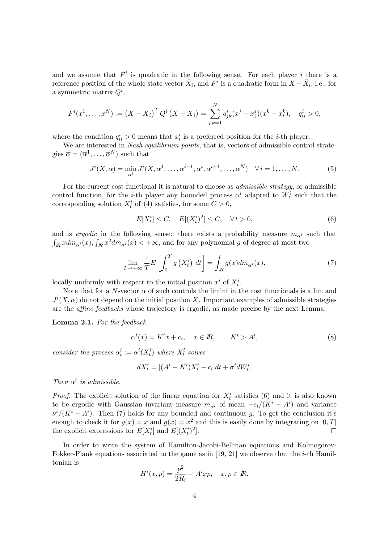and we assume that  $F^i$  is quadratic in the following sense. For each player i there is a reference position of the whole state vector  $\bar{X}_i$ , and  $F^i$  is a quadratic form in  $X - \bar{X}_i$ , i.e., for a symmetric matrix  $Q^i$ ,

$$
F^{i}(x^{1},\ldots,x^{N}):=\left(X-\overline{X}_{i}\right)^{T} Q^{i}\left(X-\overline{X}_{i}\right)=\sum_{j,k=1}^{N} q_{jk}^{i}(x^{j}-\overline{x}_{i}^{j})(x^{k}-\overline{x}_{i}^{k}), \quad q_{ii}^{i}>0,
$$

where the condition  $q_{ii}^i > 0$  means that  $\overline{x}_i^i$  is a preferred position for the *i*-th player.

We are interested in Nash equilibrium points, that is, vectors of admissible control strategies  $\overline{\alpha} = (\overline{\alpha}^1, \ldots, \overline{\alpha}^N)$  such that

$$
J^{i}(X,\overline{\alpha}) = \min_{\alpha^{i}} J^{i}(X,\overline{\alpha}^{1},\ldots,\overline{\alpha}^{i-1},\alpha^{i},\overline{\alpha}^{i+1},\ldots,\overline{\alpha}^{N}) \quad \forall i = 1,\ldots,N.
$$
 (5)

For the current cost functional it is natural to choose as *admissible strategy*, or admissible control function, for the *i*-th player any bounded process  $\alpha^i$  adapted to  $W_t^i$  such that the corresponding solution  $X_t^i$  of (4) satisfies, for some  $C > 0$ ,

$$
E[X_t^i] \le C, \quad E[(X_t^i)^2] \le C, \quad \forall \, t > 0,\tag{6}
$$

and is *ergodic* in the following sense: there exists a probability measure  $m_{\alpha i}$  such that  $\int_{I\!\! R} x dm_{\alpha^i}(x), \int_{I\!\! R} x^2 dm_{\alpha^i}(x) < +\infty$ , and for any polynomial g of degree at most two

$$
\lim_{T \to +\infty} \frac{1}{T} E\left[\int_0^T g\left(X_t^i\right) \, dt\right] = \int_{I\!\!R} g(x) dm_{\alpha^i}(x),\tag{7}
$$

locally uniformly with respect to the initial position  $x^i$  of  $X_t^i$ .

Note that for a N-vector  $\alpha$  of such controls the liminf in the cost functionals is a lim and  $J^{i}(X,\alpha)$  do not depend on the initial position X. Important examples of admissible strategies are the affine feedbacks whose trajectory is ergodic, as made precise by the next Lemma.

Lemma 2.1. For the feedback

$$
\alpha^i(x) = K^i x + c_i, \quad x \in \mathbb{R}, \qquad K^i > A^i,\tag{8}
$$

consider the process  $\alpha_t^i := \alpha^i(X_t^i)$  where  $X_t^i$  solves

$$
dX_t^i = [(A^i - K^i)X_t^i - c_i]dt + \sigma^i dW_t^i.
$$

Then  $\alpha^i$  is admissible.

*Proof.* The explicit solution of the linear equation for  $X_t^i$  satisfies (6) and it is also known to be ergodic with Gaussian invariant measure  $m_{\alpha^i}$  of mean  $-c_i/(K^i - A^i)$  and variance  $\nu^{i}/(K^{i}-A^{i})$ . Then (7) holds for any bounded and continuous g. To get the conclusion it's enough to check it for  $g(x) = x$  and  $g(x) = x^2$  and this is easily done by integrating on [0, T] the explicit expressions for  $E[X_t^i]$  and  $E[(X_t^i)^2]$ .  $\Box$ 

In order to write the system of Hamilton-Jacobi-Bellman equations and Kolmogorov-Fokker-Plank equations associated to the game as in [19, 21] we observe that the *i*-th Hamiltonian is

$$
H^{i}(x,p) = \frac{p^{2}}{2R_{i}} - A^{i}xp, \quad x, p \in \mathbb{R},
$$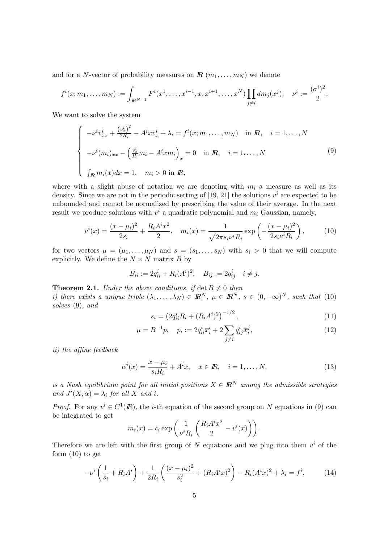and for a N-vector of probability measures on  $\mathbb{R}$   $(m_1, \ldots, m_N)$  we denote

$$
f^{i}(x; m_1, \ldots, m_N) := \int_{\mathbb{R}^{N-1}} F^{i}(x^1, \ldots, x^{i-1}, x, x^{i+1}, \ldots, x^N) \prod_{j \neq i} dm_j(x^j), \quad \nu^{i} := \frac{(\sigma^{i})^2}{2}.
$$

We want to solve the system

$$
\begin{cases}\n-\nu^{i}v_{xx}^{i} + \frac{(v_{x}^{i})^{2}}{2R_{i}} - A^{i}xv_{x}^{i} + \lambda_{i} = f^{i}(x; m_{1}, ..., m_{N}) & \text{in } R, \quad i = 1, ..., N \\
-\nu^{i}(m_{i})_{xx} - \left(\frac{v_{x}^{i}}{R_{i}}m_{i} - A^{i}xm_{i}\right)_{x} = 0 & \text{in } R, \quad i = 1, ..., N \\
\int_{R} m_{i}(x)dx = 1, \quad m_{i} > 0 \text{ in } R,\n\end{cases}
$$
\n(9)

where with a slight abuse of notation we are denoting with  $m_i$  a measure as well as its density. Since we are not in the periodic setting of [19, 21] the solutions  $v^i$  are expected to be unbounded and cannot be normalized by prescribing the value of their average. In the next result we produce solutions with  $v^i$  a quadratic polynomial and  $m_i$  Gaussian, namely,

$$
v^{i}(x) = \frac{(x - \mu_{i})^{2}}{2s_{i}} + \frac{R_{i}A^{i}x^{2}}{2}, \quad m_{i}(x) = \frac{1}{\sqrt{2\pi s_{i}\nu^{i}R_{i}}}\exp\left(-\frac{(x - \mu_{i})^{2}}{2s_{i}\nu^{i}R_{i}}\right),\tag{10}
$$

for two vectors  $\mu = (\mu_1, \ldots, \mu_N)$  and  $s = (s_1, \ldots, s_N)$  with  $s_i > 0$  that we will compute explicitly. We define the  $N \times N$  matrix B by

$$
B_{ii} := 2q_{ii}^i + R_i(A^i)^2, \quad B_{ij} := 2q_{ij}^i \quad i \neq j.
$$

**Theorem 2.1.** Under the above conditions, if  $\det B \neq 0$  then i) there exists a unique triple  $(\lambda_1,\ldots,\lambda_N) \in \mathbb{R}^N$ ,  $\mu \in \mathbb{R}^N$ ,  $s \in (0,+\infty)^N$ , such that (10) solves (9), and

$$
s_i = \left(2q_{ii}^i R_i + (R_i A^i)^2\right)^{-1/2},\tag{11}
$$

$$
\mu = B^{-1}p, \quad p_i := 2q_{ii}^i \overline{x}_i^i + 2 \sum_{j \neq i} q_{ij}^i \overline{x}_i^j,
$$
\n(12)

ii) the affine feedback

$$
\overline{\alpha}^{i}(x) = \frac{x - \mu_{i}}{s_{i}R_{i}} + A^{i}x, \quad x \in \mathbb{R}, \quad i = 1, \dots, N,
$$
\n(13)

is a Nash equilibrium point for all initial positions  $X \in \mathbb{R}^N$  among the admissible strategies and  $J^i(X,\overline{\alpha}) = \lambda_i$  for all X and i.

*Proof.* For any  $v^i \in C^1(\mathbb{R})$ , the *i*-th equation of the second group on N equations in (9) can be integrated to get

$$
m_i(x) = c_i \exp\left(\frac{1}{\nu^i R_i} \left(\frac{R_i A^i x^2}{2} - v^i(x)\right)\right).
$$

Therefore we are left with the first group of N equations and we plug into them  $v^i$  of the form  $(10)$  to get

$$
-\nu^i \left(\frac{1}{s_i} + R_i A^i\right) + \frac{1}{2R_i} \left(\frac{(x - \mu_i)^2}{s_i^2} + (R_i A^i x)^2\right) - R_i (A^i x)^2 + \lambda_i = f^i.
$$
 (14)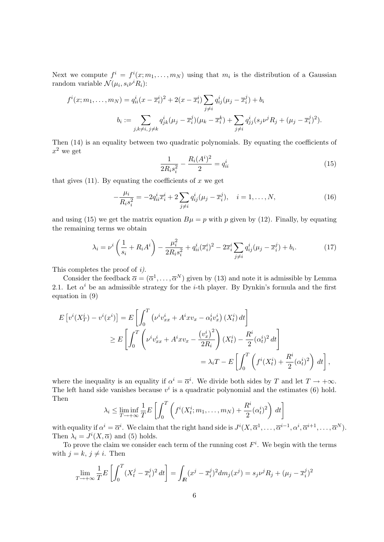Next we compute  $f^i = f^i(x; m_1, \ldots, m_N)$  using that  $m_i$  is the distribution of a Gaussian random variable  $\mathcal{N}(\mu_i, s_i \nu^i R_i)$ :

$$
f^{i}(x; m_{1},..., m_{N}) = q_{ii}^{i}(x - \overline{x}_{i}^{i})^{2} + 2(x - \overline{x}_{i}^{i}) \sum_{j \neq i} q_{ij}^{i}(\mu_{j} - \overline{x}_{i}^{j}) + b_{i}
$$

$$
b_{i} := \sum_{j,k \neq i, j \neq k} q_{jk}^{i}(\mu_{j} - \overline{x}_{i}^{j})(\mu_{k} - \overline{x}_{i}^{k}) + \sum_{j \neq i} q_{jj}^{i}(s_{j}\nu^{j}R_{j} + (\mu_{j} - \overline{x}_{i}^{j})^{2}).
$$

Then (14) is an equality between two quadratic polynomials. By equating the coefficients of  $x^2$  we get

$$
\frac{1}{2R_i s_i^2} - \frac{R_i (A^i)^2}{2} = q_{ii}^i
$$
\n(15)

that gives  $(11)$ . By equating the coefficients of x we get

$$
-\frac{\mu_i}{R_i s_i^2} = -2q_{ii}^i \overline{x}_i^i + 2 \sum_{j \neq i} q_{ij}^i (\mu_j - \overline{x}_i^j), \quad i = 1, ..., N,
$$
\n(16)

and using (15) we get the matrix equation  $B\mu = p$  with p given by (12). Finally, by equating the remaining terms we obtain

$$
\lambda_i = \nu^i \left( \frac{1}{s_i} + R_i A^i \right) - \frac{\mu_i^2}{2R_i s_i^2} + q_{ii}^i (\overline{x}_i^i)^2 - 2\overline{x}_i^i \sum_{j \neq i} q_{ij}^i (\mu_j - \overline{x}_i^j) + b_i.
$$
 (17)

This completes the proof of i).

Consider the feedback  $\overline{\alpha} = (\overline{\alpha}^1, \ldots, \overline{\alpha}^N)$  given by (13) and note it is admissible by Lemma 2.1. Let  $\alpha^{i}$  be an admissible strategy for the *i*-th player. By Dynkin's formula and the first equation in (9)

$$
E[v^{i}(X_{T}^{i}) - v^{i}(x^{i})] = E\left[\int_{0}^{T} \left(\nu^{i}v_{xx}^{i} + A^{i}xv_{x} - \alpha_{t}^{i}v_{x}^{i}\right)(X_{t}^{i}) dt\right]
$$
  
\n
$$
\geq E\left[\int_{0}^{T} \left(\nu^{i}v_{xx}^{i} + A^{i}xv_{x} - \frac{(v_{x}^{i})^{2}}{2R_{i}}\right)(X_{t}^{i}) - \frac{R^{i}}{2}(\alpha_{t}^{i})^{2} dt\right]
$$
  
\n
$$
= \lambda_{i}T - E\left[\int_{0}^{T} \left(f^{i}(X_{t}^{i}) + \frac{R^{i}}{2}(\alpha_{t}^{i})^{2}\right) dt\right],
$$

where the inequality is an equality if  $\alpha^i = \overline{\alpha}^i$ . We divide both sides by T and let  $T \to +\infty$ . The left hand side vanishes because  $v^i$  is a quadratic polynomial and the estimates (6) hold. Then

$$
\lambda_i \leq \liminf_{T \to +\infty} \frac{1}{T} E\left[\int_0^T \left(f^i(X_t^i; m_1, \dots, m_N) + \frac{R^i}{2} (\alpha_t^i)^2\right) dt\right]
$$

with equality if  $\alpha^i = \overline{\alpha}^i$ . We claim that the right hand side is  $J^i(X, \overline{\alpha}^1, \ldots, \overline{\alpha}^{i-1}, \alpha^i, \overline{\alpha}^{i+1}, \ldots, \overline{\alpha}^N)$ . Then  $\lambda_i = J^i(X, \overline{\alpha})$  and (5) holds.

To prove the claim we consider each term of the running cost  $F^i$ . We begin with the terms with  $j = k, j \neq i$ . Then

$$
\lim_{T \to +\infty} \frac{1}{T} E\left[\int_0^T (X_t^j - \overline{x}_i^j)^2 dt\right] = \int_{I\!\!R} (x^j - \overline{x}_i^j)^2 dm_j(x^j) = s_j \nu^j R_j + (\mu_j - \overline{x}_i^j)^2
$$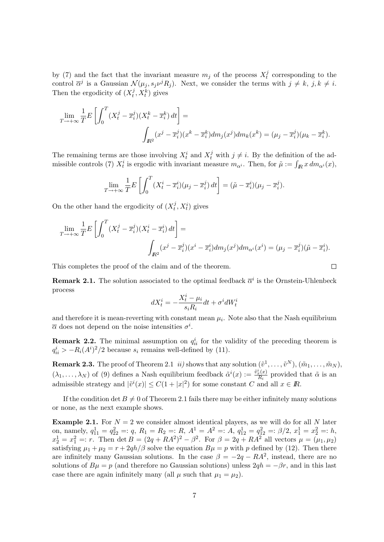by (7) and the fact that the invariant measure  $m_j$  of the process  $X_t^j$  $t<sub>t</sub><sup>j</sup>$  corresponding to the control  $\overline{\alpha}^j$  is a Gaussian  $\mathcal{N}(\mu_j, s_j \nu^j R_j)$ . Next, we consider the terms with  $j \neq k, j, k \neq i$ . Then the ergodicity of  $(X_t^j)$  $(t, X_t^k)$  gives

$$
\lim_{T \to +\infty} \frac{1}{T} E\left[\int_0^T (X_t^j - \overline{x}_i^j)(X_t^k - \overline{x}_i^k) dt\right] =
$$
\n
$$
\int_{\mathbb{R}^2} (x^j - \overline{x}_i^j)(x^k - \overline{x}_i^k) dm_j(x^j) dm_k(x^k) = (\mu_j - \overline{x}_i^j)(\mu_k - \overline{x}_i^k).
$$

The remaining terms are those involving  $X_t^i$  and  $X_t^j$  with  $j \neq i$ . By the definition of the admissible controls (7)  $X_t^i$  is ergodic with invariant measure  $m_{\alpha^i}$ . Then, for  $\tilde{\mu} := \int_{\mathbb{R}} x dm_{\alpha^i}(x)$ ,

$$
\lim_{T \to +\infty} \frac{1}{T} E\left[\int_0^T (X_t^i - \overline{x}_i^i)(\mu_j - \overline{x}_i^j) dt\right] = (\tilde{\mu} - \overline{x}_i^i)(\mu_j - \overline{x}_i^j).
$$

On the other hand the ergodicity of  $(X_t^j)$  $(t, x_t^i)$  gives

$$
\lim_{T \to +\infty} \frac{1}{T} E\left[\int_0^T (X_t^j - \overline{x}_i^j)(X_t^i - \overline{x}_i^i) dt\right] =
$$
\n
$$
\int_{\mathbb{R}^2} (x^j - \overline{x}_i^j)(x^i - \overline{x}_i^i) dm_j(x^j) dm_{\alpha^i}(x^i) = (\mu_j - \overline{x}_i^j)(\tilde{\mu} - \overline{x}_i^i).
$$

 $\Box$ 

This completes the proof of the claim and of the theorem.

**Remark 2.1.** The solution associated to the optimal feedback  $\overline{\alpha}^i$  is the Ornstein-Uhlenbeck process

$$
dX_t^i = -\frac{X_t^i - \mu_i}{s_i R_i} dt + \sigma^i dW_t^i
$$

and therefore it is mean-reverting with constant mean  $\mu_i$ . Note also that the Nash equilibrium  $\bar{\alpha}$  does not depend on the noise intensities  $\sigma^i$ .

**Remark 2.2.** The minimal assumption on  $q_{ii}^i$  for the validity of the preceding theorem is  $q_{ii}^i > -R_i(A^i)^2/2$  because  $s_i$  remains well-defined by (11).

**Remark 2.3.** The proof of Theorem 2.1 *ii)* shows that any solution  $(\tilde{v}^1, \ldots, \tilde{v}^N), (\tilde{m}_1, \ldots, \tilde{m}_N)$ ,  $(\lambda_1, \ldots, \lambda_N)$  of (9) defines a Nash equilibrium feedback  $\tilde{\alpha}^i(x) := \frac{\tilde{v}_x^i(x)}{R_i}$  $\frac{c}{R_i}(x)}{R_i}$  provided that  $\tilde{\alpha}$  is an admissible strategy and  $|\tilde{v}^i(x)| \leq C(1+|x|^2)$  for some constant C and all  $x \in \mathbb{R}$ .

If the condition det  $B \neq 0$  of Theorem 2.1 fails there may be either infinitely many solutions or none, as the next example shows.

**Example 2.1.** For  $N = 2$  we consider almost identical players, as we will do for all N later on, namely,  $q_{11}^1 = q_{22}^2 =: q$ ,  $R_1 = R_2 =: R$ ,  $A^1 = A^2 =: A$ ,  $q_{12}^1 = q_{12}^2 =: \beta/2$ ,  $x_1^1 = x_2^2 =: h$ ,  $x_2^1 = x_1^2 =: r.$  Then det  $B = (2q + RA^2)^2 - \beta^2$ . For  $\beta = 2q + RA^2$  all vectors  $\mu = (\mu_1, \mu_2)$ satisfying  $\mu_1 + \mu_2 = r + 2qh/\beta$  solve the equation  $B\mu = p$  with p defined by (12). Then there are infinitely many Gaussian solutions. In the case  $\beta = -2q - RA^2$ , instead, there are no solutions of  $B\mu = p$  (and therefore no Gaussian solutions) unless  $2qh = -\beta r$ , and in this last case there are again infinitely many (all  $\mu$  such that  $\mu_1 = \mu_2$ ).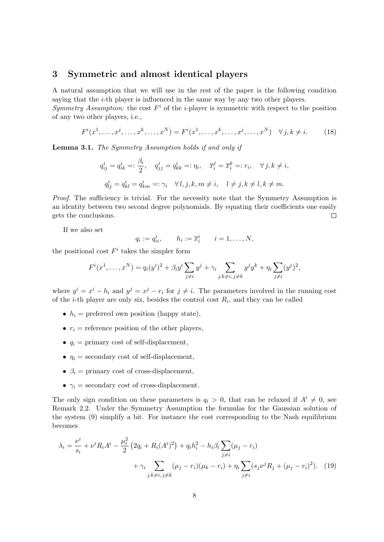### 3 Symmetric and almost identical players

A natural assumption that we will use in the rest of the paper is the following condition saying that the  $i$ -th player is influenced in the same way by any two other players.

Symmetry Assumption: the cost  $F^i$  of the *i*-player is symmetric with respect to the position of any two other players, i.e.,

$$
F^{i}(x^{1},...,x^{j},...,x^{k},...,x^{N}) = F^{i}(x^{1},...,x^{k},...,x^{j},...,x^{N}) \quad \forall j, k \neq i.
$$
 (18)

Lemma 3.1. The Symmetry Assumption holds if and only if

$$
q_{ij}^i = q_{ik}^i =: \frac{\beta_i}{2}, \quad q_{jj}^i = q_{kk}^i =: \eta_i, \quad \overline{x}_i^j = \overline{x}_i^k =: r_i, \quad \forall j, k \neq i,
$$
  

$$
q_{lj}^i = q_{kl}^i = q_{km}^i =: \gamma_i \quad \forall l, j, k, m \neq i, \quad l \neq j, k \neq l, k \neq m.
$$

Proof. The sufficiency is trivial. For the necessity note that the Symmetry Assumption is an identity between two second degree polynomials. By equating their coefficients one easily gets the conclusions.  $\Box$ 

If we also set

$$
q_i := q_{ii}^i, \qquad h_i := \overline{x}_i^i \qquad i = 1, \dots, N,
$$

the positional cost  $F^i$  takes the simpler form

$$
F^{i}(x^{1},...,x^{N}) = q_{i}(y^{i})^{2} + \beta_{i}y^{i} \sum_{j \neq i} y^{j} + \gamma_{i} \sum_{j,k \neq i, j \neq k} y^{j}y^{k} + \eta_{i} \sum_{j \neq i} (y^{j})^{2},
$$

where  $y^i = x^i - h_i$  and  $y^j = x^j - r_i$  for  $j \neq i$ . The parameters involved in the running cost of the *i*-th player are only six, besides the control cost  $R_i$ , and they can be called

- $h_i$  = preferred own position (happy state),
- $r_i$  = reference position of the other players.
- $q_i$  = primary cost of self-displacement,
- $\eta_i$  = secondary cost of self-displacement,
- $\beta_i$  = primary cost of cross-displacement,
- $\gamma_i$  = secondary cost of cross-displacement.

The only sign condition on these parameters is  $q_i > 0$ , that can be relaxed if  $A^i \neq 0$ , see Remark 2.2. Under the Symmetry Assumption the formulas for the Gaussian solution of the system (9) simplify a bit. For instance the cost corresponding to the Nash equilibrium becomes

$$
\lambda_i = \frac{\nu^i}{s_i} + \nu^i R_i A^i - \frac{\mu_i^2}{2} \left( 2q_i + R_i (A^i)^2 \right) + q_i h_i^2 - h_i \beta_i \sum_{j \neq i} (\mu_j - r_i) + \gamma_i \sum_{j, k \neq i, j \neq k} (\mu_j - r_i) (\mu_k - r_i) + \eta_i \sum_{j \neq i} (s_j \nu^j R_j + (\mu_j - r_i)^2).
$$
 (19)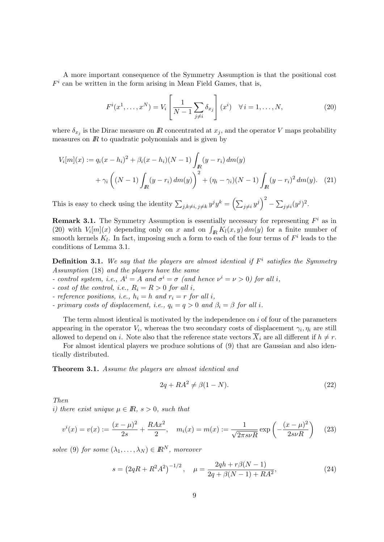A more important consequence of the Symmetry Assumption is that the positional cost  $F^i$  can be written in the form arising in Mean Field Games, that is,

$$
F^{i}(x^{1},...,x^{N}) = V_{i} \left[\frac{1}{N-1} \sum_{j \neq i} \delta_{x_{j}}\right](x^{i}) \quad \forall i = 1,...,N,
$$
 (20)

where  $\delta_{x_j}$  is the Dirac measure on R concentrated at  $x_j$ , and the operator V maps probability measures on  $\mathbb R$  to quadratic polynomials and is given by

$$
V_i[m](x) := q_i(x - h_i)^2 + \beta_i(x - h_i)(N - 1) \int_{\mathbb{R}} (y - r_i) dm(y) + \gamma_i \left( (N - 1) \int_{\mathbb{R}} (y - r_i) dm(y) \right)^2 + (\eta_i - \gamma_i)(N - 1) \int_{\mathbb{R}} (y - r_i)^2 dm(y). \tag{21}
$$

This is easy to check using the identity  $\sum_{j,k\neq i,j\neq k} y^j y^k = \left(\sum_{j\neq i} y^j\right)^2 - \sum_{j\neq i} (y^j)^2$ .

**Remark 3.1.** The Symmetry Assumption is essentially necessary for representing  $F^i$  as in (20) with  $V_i[m](x)$  depending only on x and on  $\int_R K_l(x, y) dm(y)$  for a finite number of smooth kernels  $K_l$ . In fact, imposing such a form to each of the four terms of  $F^i$  leads to the conditions of Lemma 3.1.

**Definition 3.1.** We say that the players are almost identical if  $F^i$  satisfies the Symmetry Assumption (18) and the players have the same

- control system, i.e.,  $A^i = A$  and  $\sigma^i = \sigma$  (and hence  $\nu^i = \nu > 0$ ) for all i,

- cost of the control, i.e.,  $R_i = R > 0$  for all i,

- reference positions, i.e.,  $h_i = h$  and  $r_i = r$  for all i,

- primary costs of displacement, i.e.,  $q_i = q > 0$  and  $\beta_i = \beta$  for all i.

The term almost identical is motivated by the independence on  $i$  of four of the parameters appearing in the operator  $V_i$ , whereas the two secondary costs of displacement  $\gamma_i, \eta_i$  are still allowed to depend on *i*. Note also that the reference state vectors  $\overline{X}_i$  are all different if  $h \neq r$ .

For almost identical players we produce solutions of (9) that are Gaussian and also identically distributed.

Theorem 3.1. Assume the players are almost identical and

$$
2q + RA^2 \neq \beta(1 - N). \tag{22}
$$

Then

i) there exist unique  $\mu \in \mathbb{R}$ ,  $s > 0$ , such that

$$
v^{i}(x) = v(x) := \frac{(x - \mu)^{2}}{2s} + \frac{RAx^{2}}{2}, \quad m_{i}(x) = m(x) := \frac{1}{\sqrt{2\pi s\nu R}} \exp\left(-\frac{(x - \mu)^{2}}{2s\nu R}\right) \tag{23}
$$

solve (9) for some  $(\lambda_1, \ldots, \lambda_N) \in \mathbb{R}^N$ , moreover

$$
s = \left(2qR + R^2A^2\right)^{-1/2}, \quad \mu = \frac{2qh + r\beta(N-1)}{2q + \beta(N-1) + RA^2},\tag{24}
$$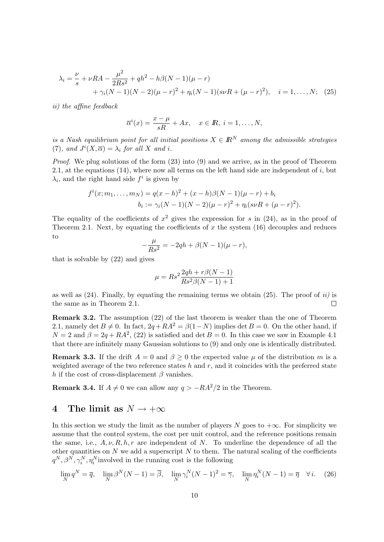$$
\lambda_i = \frac{\nu}{s} + \nu RA - \frac{\mu^2}{2Rs^2} + qh^2 - h\beta(N-1)(\mu - r) + \gamma_i(N-1)(N-2)(\mu - r)^2 + \eta_i(N-1)(s\nu R + (\mu - r)^2), \quad i = 1, ..., N; \tag{25}
$$

ii) the affine feedback

$$
\overline{\alpha}^{i}(x) = \frac{x - \mu}{sR} + Ax, \quad x \in \mathbb{R}, i = 1, \ldots, N,
$$

is a Nash equilibrium point for all initial positions  $X \in \mathbb{R}^N$  among the admissible strategies (7), and  $J^i(X,\overline{\alpha}) = \lambda_i$  for all X and i.

Proof. We plug solutions of the form (23) into (9) and we arrive, as in the proof of Theorem 2.1, at the equations  $(14)$ , where now all terms on the left hand side are independent of i, but  $\lambda_i$ , and the right hand side  $f^i$  is given by

$$
f^{i}(x; m_{1},..., m_{N}) = q(x-h)^{2} + (x-h)\beta(N-1)(\mu-r) + b_{i}
$$
  

$$
b_{i} := \gamma_{i}(N-1)(N-2)(\mu-r)^{2} + \eta_{i}(s\nu R + (\mu-r)^{2}).
$$

The equality of the coefficients of  $x^2$  gives the expression for s in (24), as in the proof of Theorem 2.1. Next, by equating the coefficients of  $x$  the system (16) decouples and reduces to

$$
-\frac{\mu}{Rs^2} = -2qh + \beta(N-1)(\mu - r),
$$

that is solvable by (22) and gives

$$
\mu = Rs^2 \frac{2qh + r\beta(N - 1)}{Rs^2\beta(N - 1) + 1}
$$

as well as  $(24)$ . Finally, by equating the remaining terms we obtain  $(25)$ . The proof of ii) is the same as in Theorem 2.1.  $\Box$ 

Remark 3.2. The assumption (22) of the last theorem is weaker than the one of Theorem 2.1, namely det  $B \neq 0$ . In fact,  $2q + RA^2 = \beta(1-N)$  implies det  $B = 0$ . On the other hand, if  $N = 2$  and  $\beta = 2q + RA^2$ , (22) is satisfied and det  $B = 0$ . In this case we saw in Example 4.1 that there are infinitely many Gaussian solutions to (9) and only one is identically distributed.

**Remark 3.3.** If the drift  $A = 0$  and  $\beta \ge 0$  the expected value  $\mu$  of the distribution m is a weighted average of the two reference states  $h$  and  $r$ , and it coincides with the preferred state h if the cost of cross-displacement  $\beta$  vanishes.

**Remark 3.4.** If  $A \neq 0$  we can allow any  $q > -RA^2/2$  in the Theorem.

## 4 The limit as  $N \to +\infty$

In this section we study the limit as the number of players N goes to  $+\infty$ . For simplicity we assume that the control system, the cost per unit control, and the reference positions remain the same, i.e.,  $A, \nu, R, h, r$  are independent of N. To underline the dependence of all the other quantities on  $N$  we add a superscript  $N$  to them. The natural scaling of the coefficients  $q^N, \beta^N, \gamma_i^N, \eta_i^N$  involved in the running cost is the following

$$
\lim_{N} q^{N} = \overline{q}, \quad \lim_{N} \beta^{N}(N-1) = \overline{\beta}, \quad \lim_{N} \gamma_{i}^{N}(N-1)^{2} = \overline{\gamma}, \quad \lim_{N} \eta_{i}^{N}(N-1) = \overline{\eta} \quad \forall i. \tag{26}
$$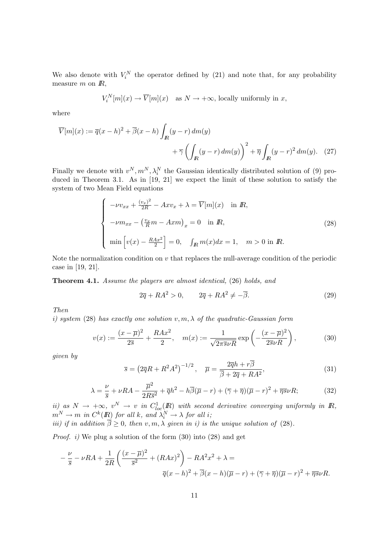We also denote with  $V_i^N$  the operator defined by (21) and note that, for any probability measure  $m$  on  $\mathbb{R}$ ,

$$
V_i^N[m](x) \to \overline{V}[m](x) \quad \text{as } N \to +\infty \text{, locally uniformly in } x,
$$

where

$$
\overline{V}[m](x) := \overline{q}(x-h)^2 + \overline{\beta}(x-h) \int_{\mathbb{R}} (y-r) dm(y) + \overline{\gamma} \left( \int_{\mathbb{R}} (y-r) dm(y) \right)^2 + \overline{\eta} \int_{\mathbb{R}} (y-r)^2 dm(y). \tag{27}
$$

Finally we denote with  $v^N, m^N, \lambda_i^N$  the Gaussian identically distributed solution of (9) produced in Theorem 3.1. As in [19, 21] we expect the limit of these solution to satisfy the system of two Mean Field equations

$$
\begin{cases}\n-\nu v_{xx} + \frac{(v_x)^2}{2R} - Ax v_x + \lambda = \overline{V}[m](x) & \text{in } \mathbb{R}, \\
-\nu m_{xx} - \left(\frac{v_x}{R}m - Axm\right)_x = 0 & \text{in } \mathbb{R}, \\
\min\left[v(x) - \frac{RAx^2}{2}\right] = 0, \quad \int_{\mathbb{R}} m(x) dx = 1, \quad m > 0 \text{ in } \mathbb{R}.\n\end{cases}
$$
\n(28)

Note the normalization condition on  $v$  that replaces the null-average condition of the periodic case in [19, 21].

Theorem 4.1. Assume the players are almost identical, (26) holds, and

$$
2\overline{q} + RA^2 > 0, \qquad 2\overline{q} + RA^2 \neq -\overline{\beta}.
$$
 (29)

Then

i) system (28) has exactly one solution  $v, m, \lambda$  of the quadratic-Gaussian form

$$
v(x) := \frac{(x - \overline{\mu})^2}{2\overline{s}} + \frac{RAx^2}{2}, \quad m(x) := \frac{1}{\sqrt{2\pi s\nu R}} \exp\left(-\frac{(x - \overline{\mu})^2}{2\overline{s}\nu R}\right),\tag{30}
$$

given by

$$
\overline{s} = \left(2\overline{q}R + R^2A^2\right)^{-1/2}, \quad \overline{\mu} = \frac{2\overline{q}h + r\overline{\beta}}{\overline{\beta} + 2\overline{q} + RA^2},\tag{31}
$$

$$
\lambda = \frac{\nu}{\overline{s}} + \nu RA - \frac{\overline{\mu}^2}{2R\overline{s}^2} + \overline{q}h^2 - h\overline{\beta}(\overline{\mu} - r) + (\overline{\gamma} + \overline{\eta})(\overline{\mu} - r)^2 + \overline{\eta s}\nu R; \tag{32}
$$

ii) as  $N \to +\infty$ ,  $v^N \to v$  in  $C^1_{loc}(I\!\!R)$  with second derivative converging uniformly in  $I\!\!R$ ,  $m^N \to m$  in  $C^k(I\!\! R)$  for all k, and  $\tilde \lambda^N_i \to \lambda$  for all i; iii) if in addition  $\beta \geq 0$ , then  $v, m, \lambda$  given in i) is the unique solution of (28).

*Proof. i*) We plug a solution of the form  $(30)$  into  $(28)$  and get

$$
-\frac{\nu}{\overline{s}} - \nu RA + \frac{1}{2R} \left( \frac{(x-\overline{\mu})^2}{\overline{s}^2} + (RAx)^2 \right) - RA^2x^2 + \lambda =
$$
  

$$
\overline{q}(x-h)^2 + \overline{\beta}(x-h)(\overline{\mu}-r) + (\overline{\gamma}+\overline{\eta})(\overline{\mu}-r)^2 + \overline{\eta s}\nu R.
$$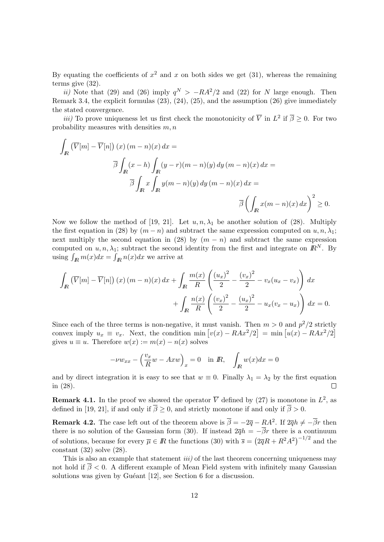By equating the coefficients of  $x^2$  and x on both sides we get (31), whereas the remaining terms give (32).

ii) Note that (29) and (26) imply  $q^N > -RA^2/2$  and (22) for N large enough. Then Remark 3.4, the explicit formulas (23), (24), (25), and the assumption (26) give immediately the stated convergence.

*iii*) To prove uniqueness let us first check the monotonicity of  $\overline{V}$  in  $L^2$  if  $\overline{\beta} \geq 0$ . For two probability measures with densities  $m, n$ 

$$
\int_{\mathbb{R}} \left( \overline{V}[m] - \overline{V}[n] \right)(x) (m - n)(x) dx =
$$
\n
$$
\overline{\beta} \int_{\mathbb{R}} (x - h) \int_{\mathbb{R}} (y - r)(m - n)(y) dy (m - n)(x) dx =
$$
\n
$$
\overline{\beta} \int_{\mathbb{R}} x \int_{\mathbb{R}} y(m - n)(y) dy (m - n)(x) dx =
$$
\n
$$
\overline{\beta} \left( \int_{\mathbb{R}} x(m - n)(x) dx \right)^{2} \ge 0.
$$

Now we follow the method of [19, 21]. Let  $u, n, \lambda_1$  be another solution of (28). Multiply the first equation in (28) by  $(m - n)$  and subtract the same expression computed on  $u, n, \lambda_1$ ; next multiply the second equation in (28) by  $(m - n)$  and subtract the same expression computed on  $u, n, \lambda_1$ ; subtract the second identity from the first and integrate on  $\mathbb{R}^N$ . By using  $\int_{\mathbb{R}} m(x)dx = \int_{\mathbb{R}} n(x)dx$  we arrive at

$$
\int_{\mathbb{R}} \left( \overline{V}[m] - \overline{V}[n] \right) (x) (m - n)(x) dx + \int_{\mathbb{R}} \frac{m(x)}{R} \left( \frac{(u_x)^2}{2} - \frac{(v_x)^2}{2} - v_x(u_x - v_x) \right) dx
$$

$$
+ \int_{\mathbb{R}} \frac{n(x)}{R} \left( \frac{(v_x)^2}{2} - \frac{(u_x)^2}{2} - u_x(v_x - u_x) \right) dx = 0.
$$

Since each of the three terms is non-negative, it must vanish. Then  $m > 0$  and  $p^2/2$  strictly convex imply  $u_x \equiv v_x$ . Next, the condition min  $[v(x) - RAx^2/2] = \min[u(x) - RAx^2/2]$ gives  $u \equiv u$ . Therefore  $w(x) := m(x) - n(x)$  solves

$$
-\nu w_{xx} - \left(\frac{v_x}{R}w - Axw\right)_x = 0 \quad \text{in } R, \quad \int_R w(x)dx = 0
$$

and by direct integration it is easy to see that  $w \equiv 0$ . Finally  $\lambda_1 = \lambda_2$  by the first equation in (28).

**Remark 4.1.** In the proof we showed the operator  $\overline{V}$  defined by (27) is monotone in  $L^2$ , as defined in [19, 21], if and only if  $\overline{\beta} \ge 0$ , and strictly monotone if and only if  $\overline{\beta} > 0$ .

**Remark 4.2.** The case left out of the theorem above is  $\overline{\beta} = -2\overline{q} - RA^2$ . If  $2\overline{q}h \neq -\overline{\beta}r$  then there is no solution of the Gaussian form (30). If instead  $2\overline{q}h = -\overline{\beta}r$  there is a continuum of solutions, because for every  $\overline{\mu} \in \mathbb{R}$  the functions (30) with  $\overline{s} = (2\overline{q}R + R^2A^2)^{-1/2}$  and the constant (32) solve (28).

This is also an example that statement  $iii$ ) of the last theorem concerning uniqueness may not hold if  $\overline{\beta}$  < 0. A different example of Mean Field system with infinitely many Gaussian solutions was given by Guéant  $[12]$ , see Section 6 for a discussion.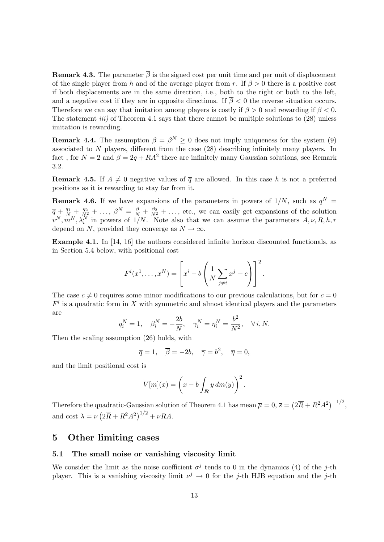**Remark 4.3.** The parameter  $\overline{\beta}$  is the signed cost per unit time and per unit of displacement of the single player from h and of the average player from r. If  $\overline{\beta} > 0$  there is a positive cost if both displacements are in the same direction, i.e., both to the right or both to the left, and a negative cost if they are in opposite directions. If  $\overline{\beta}$  < 0 the reverse situation occurs. Therefore we can say that imitation among players is costly if  $\overline{\beta} > 0$  and rewarding if  $\overline{\beta} < 0$ . The statement *iii*) of Theorem 4.1 says that there cannot be multiple solutions to  $(28)$  unless imitation is rewarding.

**Remark 4.4.** The assumption  $\beta = \beta^N \geq 0$  does not imply uniqueness for the system (9) associated to N players, different from the case (28) describing infinitely many players. In fact, for  $N = 2$  and  $\beta = 2q + RA^2$  there are infinitely many Gaussian solutions, see Remark 3.2.

**Remark 4.5.** If  $A \neq 0$  negative values of  $\overline{q}$  are allowed. In this case h is not a preferred positions as it is rewarding to stay far from it.

**Remark 4.6.** If we have expansions of the parameters in powers of  $1/N$ , such as  $q^N =$  $\overline{q} + \frac{q_1}{N_s} + \frac{q_2}{N_s^2} + \ldots$ ,  $\beta^N = \frac{\beta}{N} + \frac{\beta_2}{N^2} + \ldots$ , etc., we can easily get expansions of the solution  $v^N, m^N, \lambda_i^N$  in powers of  $1/N$ . Note also that we can assume the parameters  $A, \nu, R, h, r$ depend on N, provided they converge as  $N \to \infty$ .

Example 4.1. In [14, 16] the authors considered infinite horizon discounted functionals, as in Section 5.4 below, with positional cost

$$
F^{i}(x^{1},...,x^{N}) = \left[x^{i} - b\left(\frac{1}{N}\sum_{j \neq i}x^{j} + c\right)\right]^{2}.
$$

The case  $c \neq 0$  requires some minor modifications to our previous calculations, but for  $c = 0$  $F^i$  is a quadratic form in X with symmetric and almost identical players and the parameters are

$$
q_i^N = 1
$$
,  $\beta_i^N = -\frac{2b}{N}$ ,  $\gamma_i^N = \eta_i^N = \frac{b^2}{N^2}$ ,  $\forall i, N$ .

Then the scaling assumption (26) holds, with

$$
\overline{q} = 1, \quad \overline{\beta} = -2b, \quad \overline{\gamma} = b^2, \quad \overline{\eta} = 0,
$$

and the limit positional cost is

$$
\overline{V}[m](x) = \left(x - b \int_{I\!\!R} y \, dm(y)\right)^2.
$$

Therefore the quadratic-Gaussian solution of Theorem 4.1 has mean  $\overline{\mu} = 0$ ,  $\overline{s} = (2\overline{R} + R^2A^2)^{-1/2}$ , and cost  $\lambda = \nu \left(2\overline{R} + R^2 A^2\right)^{1/2} + \nu R A$ .

### 5 Other limiting cases

#### 5.1 The small noise or vanishing viscosity limit

We consider the limit as the noise coefficient  $\sigma^j$  tends to 0 in the dynamics (4) of the j-th player. This is a vanishing viscosity limit  $\nu^j \to 0$  for the j-th HJB equation and the j-th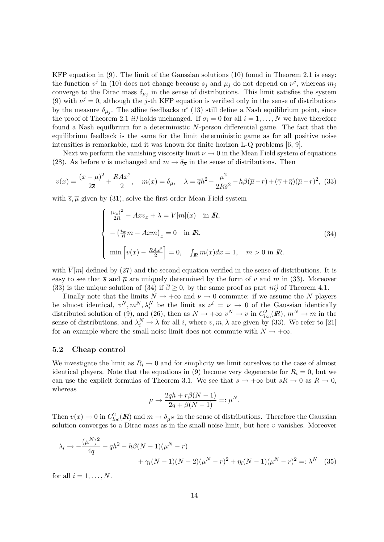KFP equation in (9). The limit of the Gaussian solutions (10) found in Theorem 2.1 is easy: the function  $v^j$  in (10) does not change because  $s_j$  and  $\mu_j$  do not depend on  $v^j$ , whereas  $m_j$ converge to the Dirac mass  $\delta_{\mu_j}$  in the sense of distributions. This limit satisfies the system (9) with  $\nu^{j} = 0$ , although the j-th KFP equation is verified only in the sense of distributions by the measure  $\delta_{\mu_j}$ . The affine feedbacks  $\alpha^i$  (13) still define a Nash equilibrium point, since the proof of Theorem 2.1 *ii*) holds unchanged. If  $\sigma_i = 0$  for all  $i = 1, ..., N$  we have therefore found a Nash equilbrium for a deterministic N-person differential game. The fact that the equilibrium feedback is the same for the limit deterministic game as for all positive noise intensities is remarkable, and it was known for finite horizon L-Q problems [6, 9].

Next we perform the vanishing viscosity limit  $\nu \to 0$  in the Mean Field system of equations (28). As before v is unchanged and  $m \to \delta_{\overline{\mu}}$  in the sense of distributions. Then

$$
v(x) = \frac{(x-\overline{\mu})^2}{2\overline{s}} + \frac{RAx^2}{2}, \quad m(x) = \delta_{\overline{\mu}}, \quad \lambda = \overline{q}h^2 - \frac{\overline{\mu}^2}{2R\overline{s}^2} - h\overline{\beta}(\overline{\mu}-r) + (\overline{\gamma}+\overline{\eta})(\overline{\mu}-r)^2, \tag{33}
$$

with  $\bar{s}, \bar{\mu}$  given by (31), solve the first order Mean Field system

$$
\begin{cases}\n\frac{(v_x)^2}{2R} - Axv_x + \lambda = \overline{V}[m](x) & \text{in } R, \\
-\left(\frac{v_x}{R}m - Axm\right)_x = 0 & \text{in } R, \\
\min\left[v(x) - \frac{RAx^2}{2}\right] = 0, \quad \int_R m(x)dx = 1, \quad m > 0 \text{ in } R.\n\end{cases}
$$
\n(34)

with  $V[m]$  defined by (27) and the second equation verified in the sense of distributions. It is easy to see that  $\bar{s}$  and  $\bar{\mu}$  are uniquely determined by the form of v and m in (33). Moreover (33) is the unique solution of (34) if  $\overline{\beta} \ge 0$ , by the same proof as part *iii*) of Theorem 4.1.

Finally note that the limits  $N \to +\infty$  and  $\nu \to 0$  commute: if we assume the N players be almost identical,  $v^N, m^N, \lambda_i^N$  be the limit as  $\nu^i = \nu \rightarrow 0$  of the Gaussian identically distributed solution of (9), and (26), then as  $N \to +\infty$   $v^N \to v$  in  $C^2_{loc}(\mathbb{R})$ ,  $m^N \to m$  in the sense of distributions, and  $\lambda_i^N \to \lambda$  for all i, where  $v, m, \lambda$  are given by (33). We refer to [21] for an example where the small noise limit does not commute with  $N \to +\infty$ .

#### 5.2 Cheap control

We investigate the limit as  $R_i \rightarrow 0$  and for simplicity we limit ourselves to the case of almost identical players. Note that the equations in (9) become very degenerate for  $R_i = 0$ , but we can use the explicit formulas of Theorem 3.1. We see that  $s \to +\infty$  but  $sR \to 0$  as  $R \to 0$ , whereas

$$
\mu \to \frac{2qh + r\beta(N-1)}{2q + \beta(N-1)} =: \mu^N.
$$

Then  $v(x) \to 0$  in  $C^2_{loc}(I\!\!R)$  and  $m \to \delta_{\mu^N}$  in the sense of distributions. Therefore the Gaussian solution converges to a Dirac mass as in the small noise limit, but here  $v$  vanishes. Moreover

$$
\lambda_i \to -\frac{(\mu^N)^2}{4q} + qh^2 - h\beta(N-1)(\mu^N - r) + \gamma_i(N-1)(N-2)(\mu^N - r)^2 + \eta_i(N-1)(\mu^N - r)^2 =: \lambda^N \quad (35)
$$

for all  $i = 1, \ldots, N$ .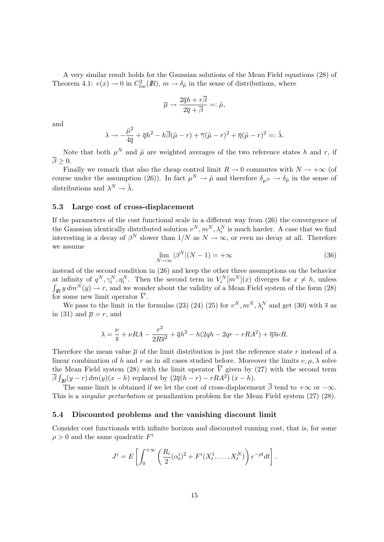A very similar result holds for the Gaussian solutions of the Mean Field equations (28) of Theorem 4.1:  $v(x) \to 0$  in  $C^2_{loc}(I\!\!R)$ ,  $m \to \delta_{\tilde{\mu}}$  in the sense of distributions, where

$$
\overline{\mu} \rightarrow \frac{2\overline{q}h + r\overline{\beta}}{2\overline{q} + \overline{\beta}} =: \tilde{\mu},
$$

and

$$
\lambda \to -\frac{\tilde{\mu}^2}{4\overline{q}} + \overline{q}h^2 - h\overline{\beta}(\tilde{\mu} - r) + \overline{\gamma}(\tilde{\mu} - r)^2 + \overline{\eta}(\tilde{\mu} - r)^2 =: \tilde{\lambda}.
$$

Note that both  $\mu^N$  and  $\tilde{\mu}$  are weighted averages of the two reference states h and r, if  $\overline{\beta} > 0.$ 

Finally we remark that also the cheap control limit  $R \to 0$  commutes with  $N \to +\infty$  (of course under the assumption (26)). In fact  $\mu^N \to \tilde{\mu}$  and therefore  $\delta_{\mu^N} \to \delta_{\tilde{\mu}}$  in the sense of distributions and  $\lambda^N \to \tilde{\lambda}$ .

### 5.3 Large cost of cross-displacement

If the parameters of the cost functional scale in a different way from (26) the convergence of the Gaussian identically distributed solution  $v^N, m^N, \lambda_i^N$  is much harder. A case that we find interesting is a decay of  $\beta^N$  slower than  $1/N$  as  $N \to \infty$ , or even no decay at all. Therefore we assume

$$
\lim_{N \to \infty} |\beta^N| (N - 1) = +\infty \tag{36}
$$

instead of the second condition in (26) and keep the other three assumptions on the behavior at infinity of  $q^N, \gamma_i^N, \eta_i^N$ . Then the second term in  $V_i^N[m^N](x)$  diverges for  $x \neq h$ , unless  $\int_{\mathbb{R}} y dm^N(y) \to r$ , and we wonder about the validity of a Mean Field system of the form (28) for some new limit operator  $\overline{V}$ .

We pass to the limit in the formulas (23) (24) (25) for  $v^N, m^N, \lambda_i^N$  and get (30) with  $\bar{s}$  as in (31) and  $\overline{\mu} = r$ , and

$$
\lambda = \frac{\nu}{\overline{s}} + \nu RA - \frac{r^2}{2R\overline{s}^2} + \overline{q}h^2 - h(2qh - 2qr - rRA^2) + \overline{\eta s}\nu R.
$$

Therefore the mean value  $\bar{\mu}$  of the limit distribution is just the reference state r instead of a linear combination of h and r as in all cases studied before. Moreover the limits  $v, \mu, \lambda$  solve the Mean Field system (28) with the limit operator  $\overline{V}$  given by (27) with the second term  $\overline{\beta} \int_{I\!\!R}(y-r) dm(y)(x-h)$  replaced by  $(2\overline{q}(h-r) - rRA^2)(x-h)$ .

The same limit is obtained if we let the cost of cross-displacement  $\overline{\beta}$  tend to  $+\infty$  or  $-\infty$ . This is a singular perturbation or penalization problem for the Mean Field system (27) (28).

#### 5.4 Discounted problems and the vanishing discount limit

Consider cost functionals with infinite horizon and discounted running cost, that is, for some  $\rho > 0$  and the same quadratic  $F^i$ 

$$
J^{i} = E\left[\int_0^{+\infty} \left(\frac{R_i}{2}(\alpha_t^{i})^2 + F^{i}(X_t^1,\ldots,X_t^N)\right)e^{-\rho t}dt\right].
$$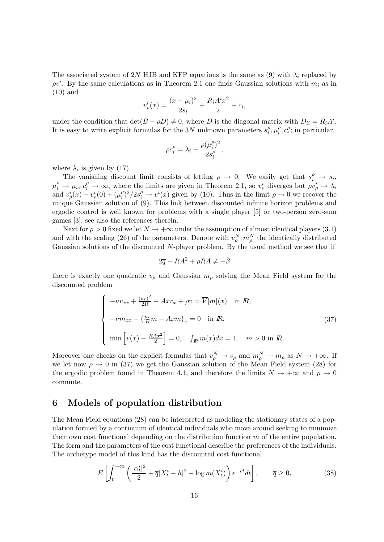The associated system of 2N HJB and KFP equations is the same as (9) with  $\lambda_i$  replaced by  $\rho v^i$ . By the same calculations as in Theorem 2.1 one finds Gaussian solutions with  $m_i$  as in (10) and

$$
v_{\rho}^{i}(x) = \frac{(x - \mu_{i})^{2}}{2s_{i}} + \frac{R_{i}A^{i}x^{2}}{2} + c_{i},
$$

under the condition that  $\det(B - \rho D) \neq 0$ , where D is the diagonal matrix with  $D_{ii} = R_i A^i$ . It is easy to write explicit formulas for the 3N unknown parameters  $s_i^{\rho}$  $\frac{\rho}{i}, \mu_i^{\rho}$  $\frac{\rho}{i}, c_i^{\rho}$  $i_i^{\rho}$ ; in particular,

$$
\rho c_i^{\rho} = \lambda_i - \frac{\rho(\mu_i^{\rho})^2}{2s_i^{\rho}},
$$

where  $\lambda_i$  is given by (17).

The vanishing discount limit consists of letting  $\rho \to 0$ . We easily get that  $s_i^{\rho} \to s_i$ ,  $\mu_i^{\rho} \to \mu_i, c_i^{\rho} \to \infty$ , where the limits are given in Theorem 2.1, so  $v_{\rho}^{i}$  diverges but  $\rho v_{\rho}^{i} \to \lambda_i$ and  $v_{\rho}^{i}(x) - v_{\rho}^{i}(0) + (\mu_{i}^{\rho})$  $i^{\rho}$ )<sup>2</sup>/2s<sup> $\rho$ </sup>  $\rightarrow$  v<sup>i</sup>(x) given by (10). Thus in the limit  $\rho \rightarrow 0$  we recover the unique Gaussian solution of (9). This link between discounted infinite horizon problems and ergodic control is well known for problems with a single player [5] or two-person zero-sum games [3], see also the references therein.

Next for  $\rho > 0$  fixed we let  $N \to +\infty$  under the assumption of almost identical players (3.1) and with the scaling (26) of the parameters. Denote with  $v_\rho^N, m_\rho^N$  the identically distributed Gaussian solutions of the discounted N-player problem. By the usual method we see that if

$$
2\overline{q} + RA^2 + \rho RA \neq -\overline{\beta}
$$

there is exactly one quadratic  $v_{\rho}$  and Gaussian  $m_{\rho}$  solving the Mean Field system for the discounted problem

$$
\begin{cases}\n-\nu v_{xx} + \frac{(v_x)^2}{2R} - Ax v_x + \rho v = \overline{V}[m](x) & \text{in } \mathbb{R}, \\
-\nu m_{xx} - \left(\frac{v_x}{R}m - Axm\right)_x = 0 & \text{in } \mathbb{R}, \\
\min\left[v(x) - \frac{RAx^2}{2}\right] = 0, \quad \int_{\mathbb{R}} m(x) dx = 1, \quad m > 0 \text{ in } \mathbb{R}.\n\end{cases}
$$
\n(37)

Moreover one checks on the explicit formulas that  $v_{\rho}^N \to v_{\rho}$  and  $m_{\rho}^N \to m_{\rho}$  as  $N \to +\infty$ . If we let now  $\rho \to 0$  in (37) we get the Gaussian solution of the Mean Field system (28) for the ergodic problem found in Theorem 4.1, and therefore the limits  $N \to +\infty$  and  $\rho \to 0$ commute.

### 6 Models of population distribution

The Mean Field equations (28) can be interpreted as modeling the stationary states of a population formed by a continuum of identical individuals who move around seeking to minimize their own cost functional depending on the distribution function m of the entire population. The form and the parameters of the cost functional describe the preferences of the individuals. The archetype model of this kind has the discounted cost functional

$$
E\left[\int_0^{+\infty} \left(\frac{|\alpha_t^i|^2}{2} + \overline{q}|X_t^i - h|^2 - \log m(X_t^i)\right) e^{-\rho t} dt\right], \qquad \overline{q} \ge 0,
$$
 (38)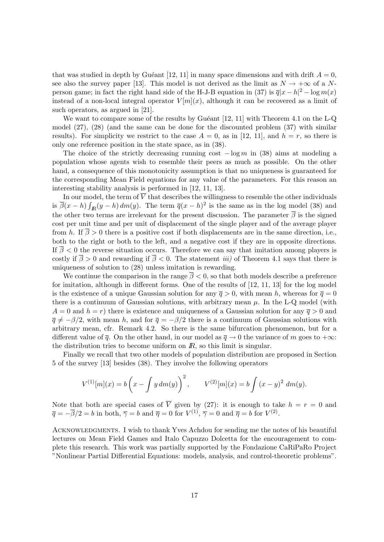that was studied in depth by Guéant [12, 11] in many space dimensions and with drift  $A = 0$ , see also the survey paper [13]. This model is not derived as the limit as  $N \to +\infty$  of a Nperson game; in fact the right hand side of the H-J-B equation in (37) is  $\overline{q}|x-h|^2 - \log m(x)$ instead of a non-local integral operator  $V[m](x)$ , although it can be recovered as a limit of such operators, as argued in [21].

We want to compare some of the results by Guéant  $[12, 11]$  with Theorem 4.1 on the L-Q model (27), (28) (and the same can be done for the discounted problem (37) with similar results). For simplicity we restrict to the case  $A = 0$ , as in [12, 11], and  $h = r$ , so there is only one reference position in the state space, as in (38).

The choice of the strictly decreasing running cost  $-\log m$  in (38) aims at modeling a population whose agents wish to resemble their peers as much as possible. On the other hand, a consequence of this monotonicity assumption is that no uniqueness is guaranteed for the corresponding Mean Field equations for any value of the parameters. For this reason an interesting stability analysis is performed in [12, 11, 13].

In our model, the term of  $\overline{V}$  that describes the willingness to resemble the other individuals is  $\overline{\beta}(x-h) \int_{\mathbb{R}} (y-h) dm(y)$ . The term  $\overline{q}(x-h)^2$  is the same as in the log model (38) and the other two terms are irrelevant for the present discussion. The parameter  $\overline{\beta}$  is the signed cost per unit time and per unit of displacement of the single player and of the average player from h. If  $\overline{\beta} > 0$  there is a positive cost if both displacements are in the same direction, i.e., both to the right or both to the left, and a negative cost if they are in opposite directions. If  $\overline{\beta}$  < 0 the reverse situation occurs. Therefore we can say that imitation among players is costly if  $\overline{\beta} > 0$  and rewarding if  $\overline{\beta} < 0$ . The statement *iii*) of Theorem 4.1 says that there is uniqueness of solution to (28) unless imitation is rewarding.

We continue the comparison in the range  $\overline{\beta}$  < 0, so that both models describe a preference for imitation, although in different forms. One of the results of [12, 11, 13] for the log model is the existence of a unique Gaussian solution for any  $\bar{q} > 0$ , with mean h, whereas for  $\bar{q} = 0$ there is a continuum of Gaussian solutions, with arbitrary mean  $\mu$ . In the L-Q model (with  $A = 0$  and  $h = r$ ) there is existence and uniqueness of a Gaussian solution for any  $\bar{q} > 0$  and  $\bar{q} \neq -\beta/2$ , with mean h, and for  $\bar{q} = -\beta/2$  there is a continuum of Gaussian solutions with arbitrary mean, cfr. Remark 4.2. So there is the same bifurcation phenomenon, but for a different value of  $\bar{q}$ . On the other hand, in our model as  $\bar{q} \to 0$  the variance of m goes to  $+\infty$ : the distribution tries to become uniform on  $\mathbb{R}$ , so this limit is singular.

Finally we recall that two other models of population distribution are proposed in Section 5 of the survey [13] besides (38). They involve the following operators

$$
V^{(1)}[m](x) = b\left(x - \int y \, dm(y)\right)^2, \qquad V^{(2)}[m](x) = b\int (x - y)^2 \, dm(y).
$$

Note that both are special cases of  $\overline{V}$  given by (27): it is enough to take  $h = r = 0$  and  $\overline{q} = -\overline{\beta}/2 = b$  in both,  $\overline{\gamma} = b$  and  $\overline{\eta} = 0$  for  $V^{(1)}$ ,  $\overline{\gamma} = 0$  and  $\overline{\eta} = b$  for  $V^{(2)}$ .

ACKNOWLEDGMENTS. I wish to thank Yves Achdou for sending me the notes of his beautiful lectures on Mean Field Games and Italo Capuzzo Dolcetta for the encouragement to complete this research. This work was partially supported by the Fondazione CaRiPaRo Project "Nonlinear Partial Differential Equations: models, analysis, and control-theoretic problems".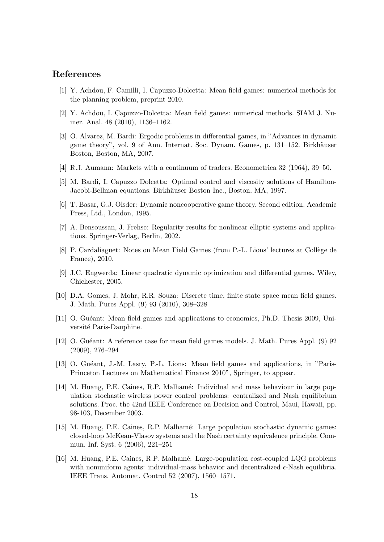## References

- [1] Y. Achdou, F. Camilli, I. Capuzzo-Dolcetta: Mean field games: numerical methods for the planning problem, preprint 2010.
- [2] Y. Achdou, I. Capuzzo-Dolcetta: Mean field games: numerical methods. SIAM J. Numer. Anal. 48 (2010), 1136–1162.
- [3] O. Alvarez, M. Bardi: Ergodic problems in differential games, in "Advances in dynamic game theory", vol. 9 of Ann. Internat. Soc. Dynam. Games, p. 131–152. Birkhäuser Boston, Boston, MA, 2007.
- [4] R.J. Aumann: Markets with a continuum of traders. Econometrica 32 (1964), 39–50.
- [5] M. Bardi, I. Capuzzo Dolcetta: Optimal control and viscosity solutions of Hamilton-Jacobi-Bellman equations. Birkhäuser Boston Inc., Boston, MA, 1997.
- [6] T. Basar, G.J. Olsder: Dynamic noncooperative game theory. Second edition. Academic Press, Ltd., London, 1995.
- [7] A. Bensoussan, J. Frehse: Regularity results for nonlinear elliptic systems and applications. Springer-Verlag, Berlin, 2002.
- [8] P. Cardaliaguet: Notes on Mean Field Games (from P.-L. Lions' lectures at Collège de France), 2010.
- [9] J.C. Engwerda: Linear quadratic dynamic optimization and differential games. Wiley, Chichester, 2005.
- [10] D.A. Gomes, J. Mohr, R.R. Souza: Discrete time, finite state space mean field games. J. Math. Pures Appl. (9) 93 (2010), 308–328
- [11] O. Gu´eant: Mean field games and applications to economics, Ph.D. Thesis 2009, Université Paris-Dauphine.
- [12] O. Guéant: A reference case for mean field games models. J. Math. Pures Appl. (9) 92 (2009), 276–294
- [13] O. Guéant, J.-M. Lasry, P.-L. Lions: Mean field games and applications, in "Paris-Princeton Lectures on Mathematical Finance 2010", Springer, to appear.
- [14] M. Huang, P.E. Caines, R.P. Malhamé: Individual and mass behaviour in large population stochastic wireless power control problems: centralized and Nash equilibrium solutions. Proc. the 42nd IEEE Conference on Decision and Control, Maui, Hawaii, pp. 98-103, December 2003.
- [15] M. Huang, P.E. Caines, R.P. Malhamé: Large population stochastic dynamic games: closed-loop McKean-Vlasov systems and the Nash certainty equivalence principle. Commun. Inf. Syst. 6 (2006), 221–251
- [16] M. Huang, P.E. Caines, R.P. Malham´e: Large-population cost-coupled LQG problems with nonuniform agents: individual-mass behavior and decentralized  $\epsilon$ -Nash equilibria. IEEE Trans. Automat. Control 52 (2007), 1560–1571.